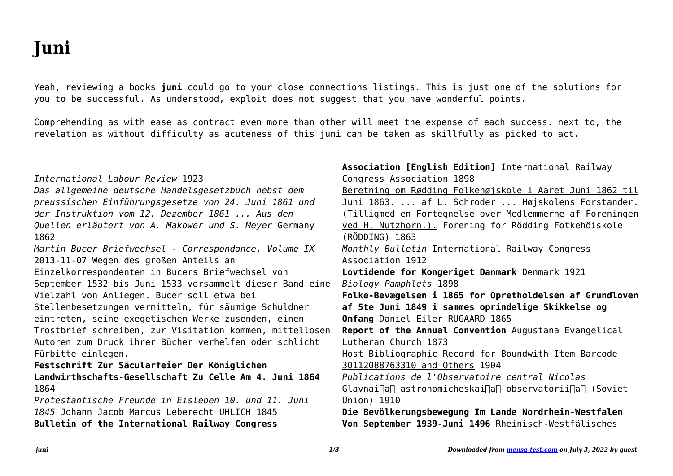## **Juni**

Yeah, reviewing a books **juni** could go to your close connections listings. This is just one of the solutions for you to be successful. As understood, exploit does not suggest that you have wonderful points.

Comprehending as with ease as contract even more than other will meet the expense of each success. next to, the revelation as without difficulty as acuteness of this juni can be taken as skillfully as picked to act.

| International Labour Review 1923<br>Das allgemeine deutsche Handelsgesetzbuch nebst dem | Association [English Edition] International Railway<br>Congress Association 1898<br>Beretning om Rødding Folkehøjskole i Aaret Juni 1862 til |
|-----------------------------------------------------------------------------------------|----------------------------------------------------------------------------------------------------------------------------------------------|
| preussischen Einführungsgesetze von 24. Juni 1861 und                                   | Juni 1863.  af L. Schroder  Højskolens Forstander.                                                                                           |
| der Instruktion vom 12. Dezember 1861  Aus den                                          | (Tilligmed en Fortegnelse over Medlemmerne af Foreningen                                                                                     |
| Quellen erläutert von A. Makower und S. Meyer Germany                                   | ved H. Nutzhorn.). Forening for Rödding Fotkehöiskole                                                                                        |
| 1862                                                                                    | (RÖDDING) 1863                                                                                                                               |
| Martin Bucer Briefwechsel - Correspondance, Volume IX                                   | Monthly Bulletin International Railway Congress                                                                                              |
| 2013-11-07 Wegen des großen Anteils an                                                  | Association 1912                                                                                                                             |
| Einzelkorrespondenten in Bucers Briefwechsel von                                        | Lovtidende for Kongeriget Danmark Denmark 1921                                                                                               |
| September 1532 bis Juni 1533 versammelt dieser Band eine                                | Biology Pamphlets 1898                                                                                                                       |
| Vielzahl von Anliegen. Bucer soll etwa bei                                              | Folke-Bevægelsen i 1865 for Opretholdelsen af Grundloven                                                                                     |
| Stellenbesetzungen vermitteln, für säumige Schuldner                                    | af 5te Juni 1849 i sammes oprindelige Skikkelse og                                                                                           |
| eintreten, seine exegetischen Werke zusenden, einen                                     | Omfang Daniel Eiler RUGAARD 1865                                                                                                             |
| Trostbrief schreiben, zur Visitation kommen, mittellosen                                | Report of the Annual Convention Augustana Evangelical                                                                                        |
| Autoren zum Druck ihrer Bücher verhelfen oder schlicht                                  | Lutheran Church 1873                                                                                                                         |
| Fürbitte einlegen.                                                                      | Host Bibliographic Record for Boundwith Item Barcode                                                                                         |
| Festschrift Zur Säcularfeier Der Königlichen                                            | 30112088763310 and Others 1904                                                                                                               |
| Landwirthschafts-Gesellschaft Zu Celle Am 4. Juni 1864                                  | Publications de l'Observatoire central Nicolas                                                                                               |
| 1864                                                                                    | Glavnainan astronomicheskainan observatoriinan (Soviet                                                                                       |
| Protestantische Freunde in Eisleben 10. und 11. Juni                                    | Union) 1910                                                                                                                                  |
| 1845 Johann Jacob Marcus Leberecht UHLICH 1845                                          | Die Bevölkerungsbewegung Im Lande Nordrhein-Westfalen                                                                                        |
| Bulletin of the International Railway Congress                                          | Von September 1939-Juni 1496 Rheinisch-Westfälisches                                                                                         |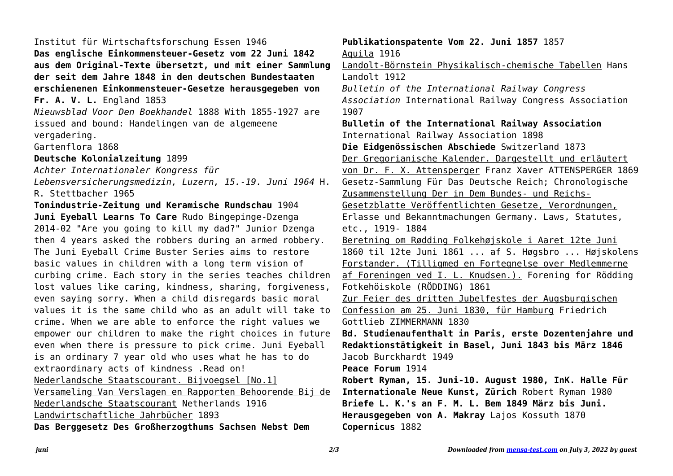Institut für Wirtschaftsforschung Essen 1946 **Das englische Einkommensteuer-Gesetz vom 22 Juni 1842 aus dem Original-Texte übersetzt, und mit einer Sammlung der seit dem Jahre 1848 in den deutschen Bundestaaten erschienenen Einkommensteuer-Gesetze herausgegeben von Fr. A. V. L.** England 1853 *Nieuwsblad Voor Den Boekhandel* 1888 With 1855-1927 are issued and bound: Handelingen van de algemeene vergadering. Gartenflora 1868 **Deutsche Kolonialzeitung** 1899 *Achter Internationaler Kongress für Lebensversicherungsmedizin, Luzern, 15.-19. Juni 1964* H. R. Stettbacher 1965 **Tonindustrie-Zeitung und Keramische Rundschau** 1904 **Juni Eyeball Learns To Care** Rudo Bingepinge-Dzenga 2014-02 "Are you going to kill my dad?" Junior Dzenga then 4 years asked the robbers during an armed robbery. The Juni Eyeball Crime Buster Series aims to restore basic values in children with a long term vision of curbing crime. Each story in the series teaches children lost values like caring, kindness, sharing, forgiveness, even saying sorry. When a child disregards basic moral values it is the same child who as an adult will take to crime. When we are able to enforce the right values we empower our children to make the right choices in future even when there is pressure to pick crime. Juni Eyeball is an ordinary 7 year old who uses what he has to do extraordinary acts of kindness .Read on! Nederlandsche Staatscourant. Bijvoegsel [No.1] Versameling Van Verslagen en Rapporten Behoorende Bij de Nederlandsche Staatscourant Netherlands 1916 Landwirtschaftliche Jahrbücher 1893 **Das Berggesetz Des Großherzogthums Sachsen Nebst Dem**

**Publikationspatente Vom 22. Juni 1857** 1857 Aquila 1916 Landolt-Börnstein Physikalisch-chemische Tabellen Hans Landolt 1912 *Bulletin of the International Railway Congress Association* International Railway Congress Association 1907 **Bulletin of the International Railway Association** International Railway Association 1898 **Die Eidgenössischen Abschiede** Switzerland 1873 Der Gregorianische Kalender. Dargestellt und erläutert von Dr. F. X. Attensperger Franz Xaver ATTENSPERGER 1869 Gesetz-Sammlung Für Das Deutsche Reich; Chronologische Zusammenstellung Der in Dem Bundes- und Reichs-Gesetzblatte Veröffentlichten Gesetze, Verordnungen, Erlasse und Bekanntmachungen Germany. Laws, Statutes, etc., 1919- 1884 Beretning om Rødding Folkehøjskole i Aaret 12te Juni 1860 til 12te Juni 1861 ... af S. Høgsbro ... Højskolens Forstander. (Tilligmed en Fortegnelse over Medlemmerne af Foreningen ved I. L. Knudsen.). Forening for Rödding Fotkehöiskole (RÖDDING) 1861 Zur Feier des dritten Jubelfestes der Augsburgischen Confession am 25. Juni 1830, für Hamburg Friedrich Gottlieb ZIMMERMANN 1830 **Bd. Studienaufenthalt in Paris, erste Dozentenjahre und Redaktionstätigkeit in Basel, Juni 1843 bis März 1846** Jacob Burckhardt 1949 **Peace Forum** 1914 **Robert Ryman, 15. Juni-10. August 1980, InK. Halle Für Internationale Neue Kunst, Zürich** Robert Ryman 1980 **Briefe L. K.'s an F. M. L. Bem 1849 März bis Juni. Herausgegeben von A. Makray** Lajos Kossuth 1870 **Copernicus** 1882